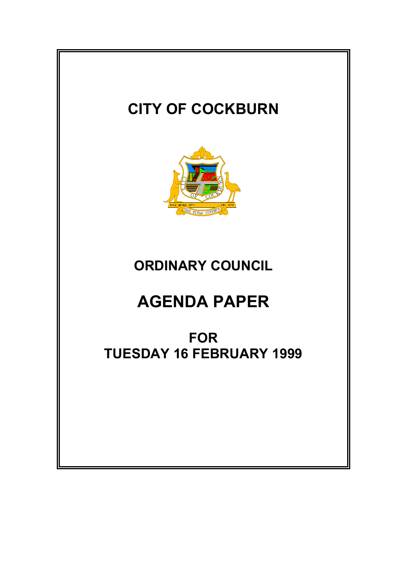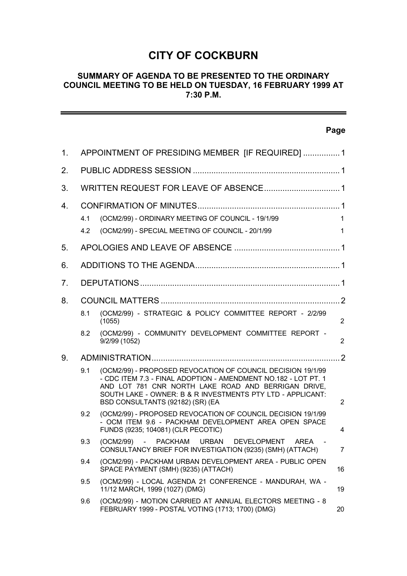# **CITY OF COCKBURN**

#### **SUMMARY OF AGENDA TO BE PRESENTED TO THE ORDINARY COUNCIL MEETING TO BE HELD ON TUESDAY, 16 FEBRUARY 1999 AT 7:30 P.M.**

# **Page** 1. APPOINTMENT OF PRESIDING MEMBER [IF REQUIRED] ................1 2. PUBLIC ADDRESS SESSION ................................................................1 3. WRITTEN REQUEST FOR LEAVE OF ABSENCE.................................1 4. CONFIRMATION OF MINUTES..............................................................1 4.1 (OCM2/99) - ORDINARY MEETING OF COUNCIL - 19/1/99 1 4.2 (OCM2/99) - SPECIAL MEETING OF COUNCIL - 20/1/99 1 5. APOLOGIES AND LEAVE OF ABSENCE ..............................................1 6. ADDITIONS TO THE AGENDA...............................................................1 7. DEPUTATIONS.......................................................................................1 8. COUNCIL MATTERS ..............................................................................2 8.1 (OCM2/99) - STRATEGIC & POLICY COMMITTEE REPORT - 2/2/99 (1055) 2 8.2 (OCM2/99) - COMMUNITY DEVELOPMENT COMMITTEE REPORT - 9/2/99 (1052) 2 9. ADMINISTRATION..................................................................................2 9.1 (OCM2/99) - PROPOSED REVOCATION OF COUNCIL DECISION 19/1/99 - CDC ITEM 7.3 - FINAL ADOPTION - AMENDMENT NO.182 - LOT PT. 1 AND LOT 781 CNR NORTH LAKE ROAD AND BERRIGAN DRIVE, SOUTH LAKE - OWNER: B & R INVESTMENTS PTY LTD - APPLICANT: BSD CONSULTANTS (92182) (SR) (EA 2 9.2 (OCM2/99) - PROPOSED REVOCATION OF COUNCIL DECISION 19/1/99 - OCM ITEM 9.6 - PACKHAM DEVELOPMENT AREA OPEN SPACE FUNDS (9235; 104081) (CLR PECOTIC) 4 9.3 (OCM2/99) - PACKHAM URBAN DEVELOPMENT AREA CONSULTANCY BRIEF FOR INVESTIGATION (9235) (SMH) (ATTACH) 7 9.4 (OCM2/99) - PACKHAM URBAN DEVELOPMENT AREA - PUBLIC OPEN SPACE PAYMENT (SMH) (9235) (ATTACH) 16 9.5 (OCM2/99) - LOCAL AGENDA 21 CONFERENCE - MANDURAH, WA - 11/12 MARCH, 1999 (1027) (DMG) 19 9.6 (OCM2/99) - MOTION CARRIED AT ANNUAL ELECTORS MEETING - 8 FEBRUARY 1999 - POSTAL VOTING (1713; 1700) (DMG) 20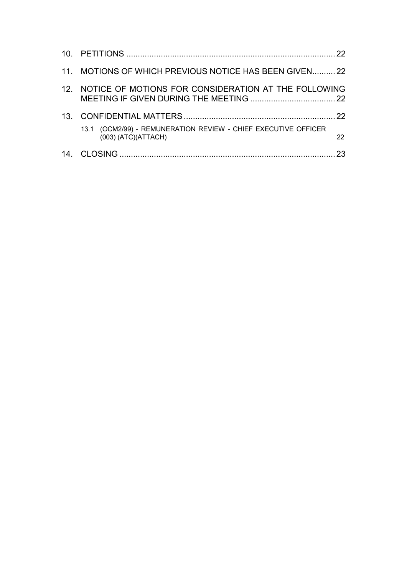| 11. MOTIONS OF WHICH PREVIOUS NOTICE HAS BEEN GIVEN22                                 |    |
|---------------------------------------------------------------------------------------|----|
| 12. NOTICE OF MOTIONS FOR CONSIDERATION AT THE FOLLOWING                              |    |
|                                                                                       |    |
| 13.1 (OCM2/99) - REMUNERATION REVIEW - CHIEF EXECUTIVE OFFICER<br>(003) (ATC)(ATTACH) | 22 |
|                                                                                       | 23 |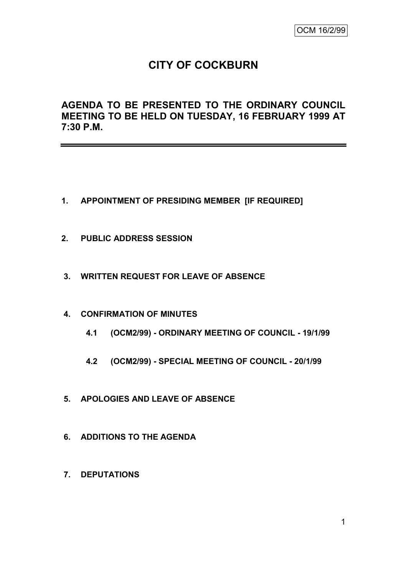# **CITY OF COCKBURN**

**AGENDA TO BE PRESENTED TO THE ORDINARY COUNCIL MEETING TO BE HELD ON TUESDAY, 16 FEBRUARY 1999 AT 7:30 P.M.**

- **1. APPOINTMENT OF PRESIDING MEMBER [IF REQUIRED]**
- **2. PUBLIC ADDRESS SESSION**
- **3. WRITTEN REQUEST FOR LEAVE OF ABSENCE**
- **4. CONFIRMATION OF MINUTES**
	- **4.1 (OCM2/99) - ORDINARY MEETING OF COUNCIL - 19/1/99**
	- **4.2 (OCM2/99) - SPECIAL MEETING OF COUNCIL - 20/1/99**
- **5. APOLOGIES AND LEAVE OF ABSENCE**
- **6. ADDITIONS TO THE AGENDA**
- **7. DEPUTATIONS**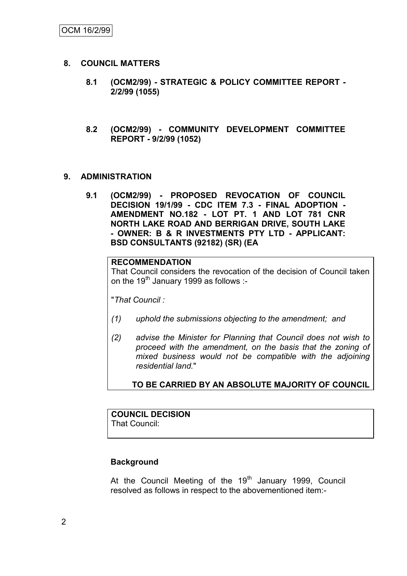## **8. COUNCIL MATTERS**

- **8.1 (OCM2/99) - STRATEGIC & POLICY COMMITTEE REPORT - 2/2/99 (1055)**
- **8.2 (OCM2/99) - COMMUNITY DEVELOPMENT COMMITTEE REPORT - 9/2/99 (1052)**

## **9. ADMINISTRATION**

**9.1 (OCM2/99) - PROPOSED REVOCATION OF COUNCIL DECISION 19/1/99 - CDC ITEM 7.3 - FINAL ADOPTION - AMENDMENT NO.182 - LOT PT. 1 AND LOT 781 CNR NORTH LAKE ROAD AND BERRIGAN DRIVE, SOUTH LAKE - OWNER: B & R INVESTMENTS PTY LTD - APPLICANT: BSD CONSULTANTS (92182) (SR) (EA**

#### **RECOMMENDATION**

That Council considers the revocation of the decision of Council taken on the 19<sup>th</sup> January 1999 as follows :-

"*That Council :*

- *(1) uphold the submissions objecting to the amendment; and*
- *(2) advise the Minister for Planning that Council does not wish to proceed with the amendment, on the basis that the zoning of mixed business would not be compatible with the adjoining residential land.*"

## **TO BE CARRIED BY AN ABSOLUTE MAJORITY OF COUNCIL**

# **COUNCIL DECISION**

That Council:

## **Background**

At the Council Meeting of the  $19<sup>th</sup>$  January 1999, Council resolved as follows in respect to the abovementioned item:-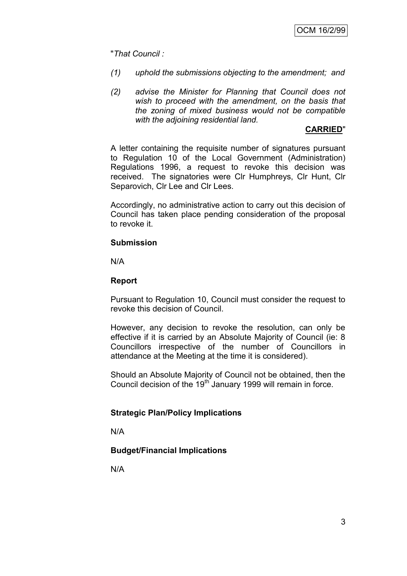"*That Council :*

- *(1) uphold the submissions objecting to the amendment; and*
- *(2) advise the Minister for Planning that Council does not wish to proceed with the amendment, on the basis that the zoning of mixed business would not be compatible with the adjoining residential land.*

### **CARRIED**"

A letter containing the requisite number of signatures pursuant to Regulation 10 of the Local Government (Administration) Regulations 1996, a request to revoke this decision was received. The signatories were Clr Humphreys, Clr Hunt, Clr Separovich, Clr Lee and Clr Lees.

Accordingly, no administrative action to carry out this decision of Council has taken place pending consideration of the proposal to revoke it.

#### **Submission**

N/A

## **Report**

Pursuant to Regulation 10, Council must consider the request to revoke this decision of Council.

However, any decision to revoke the resolution, can only be effective if it is carried by an Absolute Majority of Council (ie: 8 Councillors irrespective of the number of Councillors in attendance at the Meeting at the time it is considered).

Should an Absolute Majority of Council not be obtained, then the Council decision of the  $19<sup>th</sup>$  January 1999 will remain in force.

## **Strategic Plan/Policy Implications**

N/A

## **Budget/Financial Implications**

N/A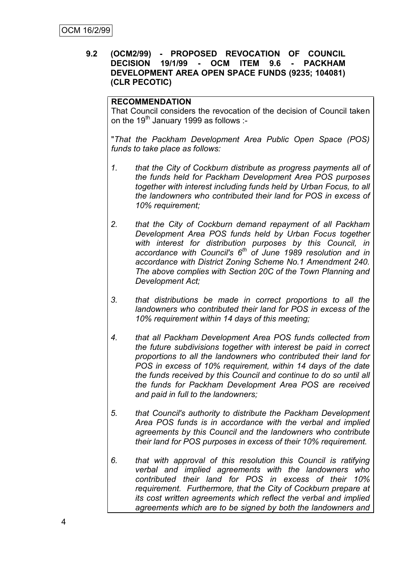## **9.2 (OCM2/99) - PROPOSED REVOCATION OF COUNCIL DECISION 19/1/99 - OCM ITEM 9.6 - PACKHAM DEVELOPMENT AREA OPEN SPACE FUNDS (9235; 104081) (CLR PECOTIC)**

## **RECOMMENDATION**

That Council considers the revocation of the decision of Council taken on the  $19<sup>tn</sup>$  January 1999 as follows :-

"*That the Packham Development Area Public Open Space (POS) funds to take place as follows:*

- *1. that the City of Cockburn distribute as progress payments all of the funds held for Packham Development Area POS purposes together with interest including funds held by Urban Focus, to all the landowners who contributed their land for POS in excess of 10% requirement;*
- *2. that the City of Cockburn demand repayment of all Packham Development Area POS funds held by Urban Focus together with interest for distribution purposes by this Council, in accordance with Council's 6th of June 1989 resolution and in accordance with District Zoning Scheme No.1 Amendment 240. The above complies with Section 20C of the Town Planning and Development Act;*
- *3. that distributions be made in correct proportions to all the landowners who contributed their land for POS in excess of the 10% requirement within 14 days of this meeting;*
- *4. that all Packham Development Area POS funds collected from the future subdivisions together with interest be paid in correct proportions to all the landowners who contributed their land for POS in excess of 10% requirement, within 14 days of the date the funds received by this Council and continue to do so until all the funds for Packham Development Area POS are received and paid in full to the landowners;*
- *5. that Council's authority to distribute the Packham Development Area POS funds is in accordance with the verbal and implied agreements by this Council and the landowners who contribute their land for POS purposes in excess of their 10% requirement.*
- *6. that with approval of this resolution this Council is ratifying verbal and implied agreements with the landowners who contributed their land for POS in excess of their 10% requirement. Furthermore, that the City of Cockburn prepare at its cost written agreements which reflect the verbal and implied agreements which are to be signed by both the landowners and*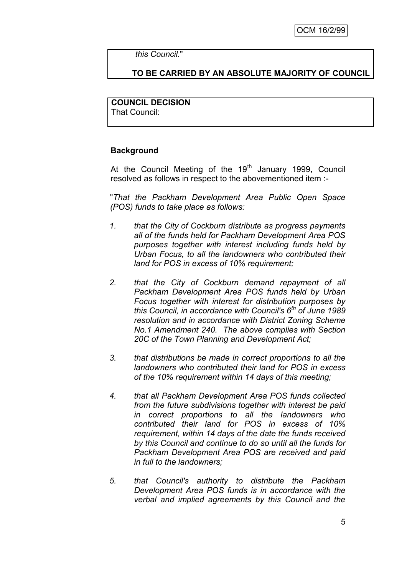*this Council.*"

## **TO BE CARRIED BY AN ABSOLUTE MAJORITY OF COUNCIL**

## **COUNCIL DECISION**

That Council:

## **Background**

At the Council Meeting of the  $19<sup>th</sup>$  January 1999, Council resolved as follows in respect to the abovementioned item :-

"*That the Packham Development Area Public Open Space (POS) funds to take place as follows:*

- *1. that the City of Cockburn distribute as progress payments all of the funds held for Packham Development Area POS purposes together with interest including funds held by Urban Focus, to all the landowners who contributed their land for POS in excess of 10% requirement;*
- *2. that the City of Cockburn demand repayment of all Packham Development Area POS funds held by Urban Focus together with interest for distribution purposes by this Council, in accordance with Council's 6th of June 1989 resolution and in accordance with District Zoning Scheme No.1 Amendment 240. The above complies with Section 20C of the Town Planning and Development Act;*
- *3. that distributions be made in correct proportions to all the landowners who contributed their land for POS in excess of the 10% requirement within 14 days of this meeting;*
- *4. that all Packham Development Area POS funds collected from the future subdivisions together with interest be paid in correct proportions to all the landowners who contributed their land for POS in excess of 10% requirement, within 14 days of the date the funds received by this Council and continue to do so until all the funds for Packham Development Area POS are received and paid in full to the landowners;*
- *5. that Council's authority to distribute the Packham Development Area POS funds is in accordance with the verbal and implied agreements by this Council and the*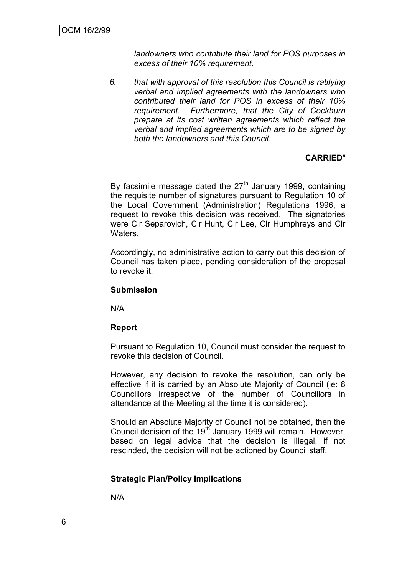*landowners who contribute their land for POS purposes in excess of their 10% requirement.*

*6. that with approval of this resolution this Council is ratifying verbal and implied agreements with the landowners who contributed their land for POS in excess of their 10% requirement. Furthermore, that the City of Cockburn prepare at its cost written agreements which reflect the verbal and implied agreements which are to be signed by both the landowners and this Council.*

## **CARRIED**"

By facsimile message dated the  $27<sup>th</sup>$  January 1999, containing the requisite number of signatures pursuant to Regulation 10 of the Local Government (Administration) Regulations 1996, a request to revoke this decision was received. The signatories were Clr Separovich, Clr Hunt, Clr Lee, Clr Humphreys and Clr Waters.

Accordingly, no administrative action to carry out this decision of Council has taken place, pending consideration of the proposal to revoke it.

#### **Submission**

N/A

#### **Report**

Pursuant to Regulation 10, Council must consider the request to revoke this decision of Council.

However, any decision to revoke the resolution, can only be effective if it is carried by an Absolute Majority of Council (ie: 8 Councillors irrespective of the number of Councillors in attendance at the Meeting at the time it is considered).

Should an Absolute Majority of Council not be obtained, then the Council decision of the 19<sup>th</sup> January 1999 will remain. However, based on legal advice that the decision is illegal, if not rescinded, the decision will not be actioned by Council staff.

## **Strategic Plan/Policy Implications**

N/A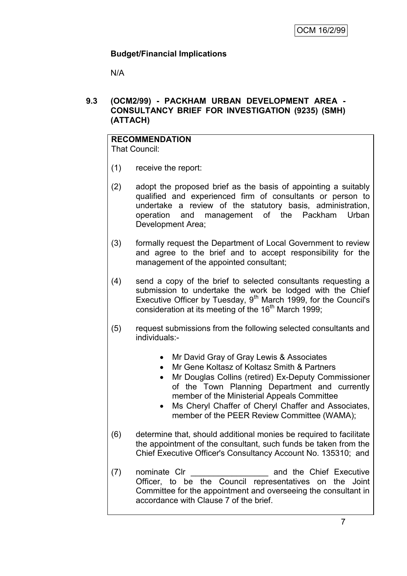## **Budget/Financial Implications**

N/A

## **9.3 (OCM2/99) - PACKHAM URBAN DEVELOPMENT AREA - CONSULTANCY BRIEF FOR INVESTIGATION (9235) (SMH) (ATTACH)**

## **RECOMMENDATION**

That Council:

- (1) receive the report:
- (2) adopt the proposed brief as the basis of appointing a suitably qualified and experienced firm of consultants or person to undertake a review of the statutory basis, administration, operation and management of the Packham Urban Development Area;
- (3) formally request the Department of Local Government to review and agree to the brief and to accept responsibility for the management of the appointed consultant;
- (4) send a copy of the brief to selected consultants requesting a submission to undertake the work be lodged with the Chief Executive Officer by Tuesday,  $9<sup>th</sup>$  March 1999, for the Council's consideration at its meeting of the 16<sup>th</sup> March 1999;
- (5) request submissions from the following selected consultants and individuals:-
	- Mr David Gray of Gray Lewis & Associates
	- Mr Gene Koltasz of Koltasz Smith & Partners
	- Mr Douglas Collins (retired) Ex-Deputy Commissioner of the Town Planning Department and currently member of the Ministerial Appeals Committee
	- Ms Cheryl Chaffer of Cheryl Chaffer and Associates, member of the PEER Review Committee (WAMA);
- (6) determine that, should additional monies be required to facilitate the appointment of the consultant, such funds be taken from the Chief Executive Officer's Consultancy Account No. 135310; and
- (7) nominate Clr and the Chief Executive Officer, to be the Council representatives on the Joint Committee for the appointment and overseeing the consultant in accordance with Clause 7 of the brief.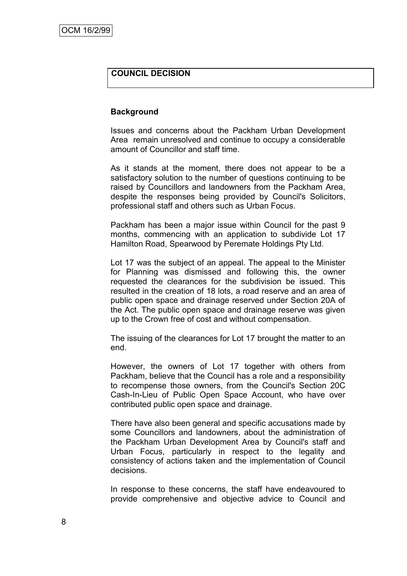## **COUNCIL DECISION**

#### **Background**

Issues and concerns about the Packham Urban Development Area remain unresolved and continue to occupy a considerable amount of Councillor and staff time.

As it stands at the moment, there does not appear to be a satisfactory solution to the number of questions continuing to be raised by Councillors and landowners from the Packham Area, despite the responses being provided by Council's Solicitors, professional staff and others such as Urban Focus.

Packham has been a major issue within Council for the past 9 months, commencing with an application to subdivide Lot 17 Hamilton Road, Spearwood by Peremate Holdings Pty Ltd.

Lot 17 was the subject of an appeal. The appeal to the Minister for Planning was dismissed and following this, the owner requested the clearances for the subdivision be issued. This resulted in the creation of 18 lots, a road reserve and an area of public open space and drainage reserved under Section 20A of the Act. The public open space and drainage reserve was given up to the Crown free of cost and without compensation.

The issuing of the clearances for Lot 17 brought the matter to an end.

However, the owners of Lot 17 together with others from Packham, believe that the Council has a role and a responsibility to recompense those owners, from the Council's Section 20C Cash-In-Lieu of Public Open Space Account, who have over contributed public open space and drainage.

There have also been general and specific accusations made by some Councillors and landowners, about the administration of the Packham Urban Development Area by Council's staff and Urban Focus, particularly in respect to the legality and consistency of actions taken and the implementation of Council decisions.

In response to these concerns, the staff have endeavoured to provide comprehensive and objective advice to Council and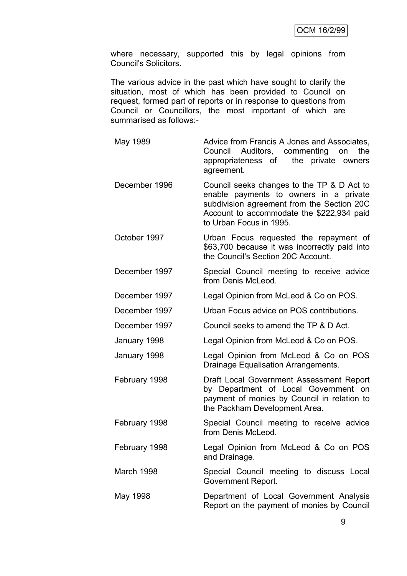where necessary, supported this by legal opinions from Council's Solicitors.

The various advice in the past which have sought to clarify the situation, most of which has been provided to Council on request, formed part of reports or in response to questions from Council or Councillors, the most important of which are summarised as follows:-

- May 1989 **Advice from Francis A Jones and Associates,** Council Auditors, commenting on the appropriateness of the private owners agreement.
- December 1996 Council seeks changes to the TP & D Act to enable payments to owners in a private subdivision agreement from the Section 20C Account to accommodate the \$222,934 paid to Urban Focus in 1995.
- October 1997 Urban Focus requested the repayment of \$63,700 because it was incorrectly paid into the Council's Section 20C Account.
- December 1997 Special Council meeting to receive advice from Denis McLeod.
- December 1997 Legal Opinion from McLeod & Co on POS.
- December 1997 Urban Focus advice on POS contributions.
- December 1997 Council seeks to amend the TP & D Act.
- January 1998 Legal Opinion from McLeod & Co on POS.

January 1998 Legal Opinion from McLeod & Co on POS Drainage Equalisation Arrangements.

- February 1998 Draft Local Government Assessment Report by Department of Local Government on payment of monies by Council in relation to the Packham Development Area.
- February 1998 Special Council meeting to receive advice from Denis McLeod.
- February 1998 Legal Opinion from McLeod & Co on POS and Drainage.

March 1998 Special Council meeting to discuss Local Government Report.

May 1998 Department of Local Government Analysis Report on the payment of monies by Council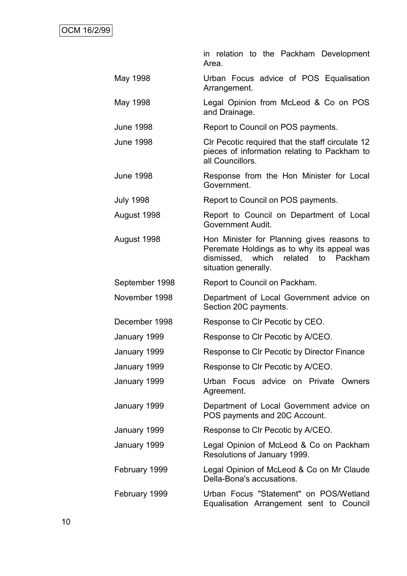|                  | in relation to the Packham Development<br>Area.                                                                                                         |
|------------------|---------------------------------------------------------------------------------------------------------------------------------------------------------|
| May 1998         | Urban Focus advice of POS Equalisation<br>Arrangement.                                                                                                  |
| May 1998         | Legal Opinion from McLeod & Co on POS<br>and Drainage.                                                                                                  |
| <b>June 1998</b> | Report to Council on POS payments.                                                                                                                      |
| <b>June 1998</b> | CIr Pecotic required that the staff circulate 12<br>pieces of information relating to Packham to<br>all Councillors.                                    |
| <b>June 1998</b> | Response from the Hon Minister for Local<br>Government.                                                                                                 |
| <b>July 1998</b> | Report to Council on POS payments.                                                                                                                      |
| August 1998      | Report to Council on Department of Local<br>Government Audit.                                                                                           |
| August 1998      | Hon Minister for Planning gives reasons to<br>Peremate Holdings as to why its appeal was<br>dismissed, which related to Packham<br>situation generally. |
| September 1998   | Report to Council on Packham.                                                                                                                           |
| November 1998    | Department of Local Government advice on<br>Section 20C payments.                                                                                       |
| December 1998    | Response to CIr Pecotic by CEO.                                                                                                                         |
| January 1999     | Response to CIr Pecotic by A/CEO.                                                                                                                       |
| January 1999     | Response to CIr Pecotic by Director Finance                                                                                                             |
| January 1999     | Response to CIr Pecotic by A/CEO.                                                                                                                       |
| January 1999     | Urban Focus advice on Private Owners<br>Agreement.                                                                                                      |
| January 1999     | Department of Local Government advice on<br>POS payments and 20C Account.                                                                               |
| January 1999     | Response to CIr Pecotic by A/CEO.                                                                                                                       |
| January 1999     | Legal Opinion of McLeod & Co on Packham<br>Resolutions of January 1999.                                                                                 |
| February 1999    | Legal Opinion of McLeod & Co on Mr Claude<br>Della-Bona's accusations.                                                                                  |
| February 1999    | Urban Focus "Statement" on POS/Wetland<br>Equalisation Arrangement sent to Council                                                                      |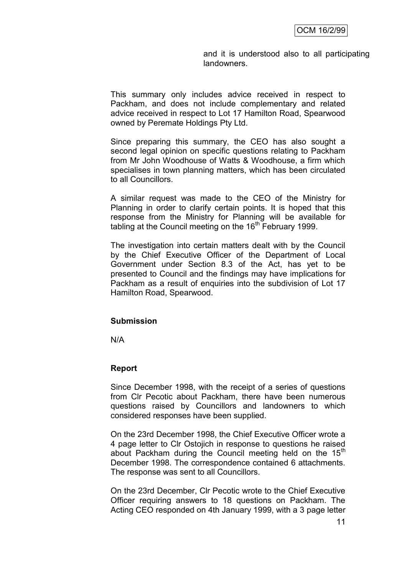and it is understood also to all participating landowners.

This summary only includes advice received in respect to Packham, and does not include complementary and related advice received in respect to Lot 17 Hamilton Road, Spearwood owned by Peremate Holdings Pty Ltd.

Since preparing this summary, the CEO has also sought a second legal opinion on specific questions relating to Packham from Mr John Woodhouse of Watts & Woodhouse, a firm which specialises in town planning matters, which has been circulated to all Councillors.

A similar request was made to the CEO of the Ministry for Planning in order to clarify certain points. It is hoped that this response from the Ministry for Planning will be available for tabling at the Council meeting on the  $16<sup>th</sup>$  February 1999.

The investigation into certain matters dealt with by the Council by the Chief Executive Officer of the Department of Local Government under Section 8.3 of the Act, has yet to be presented to Council and the findings may have implications for Packham as a result of enquiries into the subdivision of Lot 17 Hamilton Road, Spearwood.

#### **Submission**

N/A

#### **Report**

Since December 1998, with the receipt of a series of questions from Clr Pecotic about Packham, there have been numerous questions raised by Councillors and landowners to which considered responses have been supplied.

On the 23rd December 1998, the Chief Executive Officer wrote a 4 page letter to Clr Ostojich in response to questions he raised about Packham during the Council meeting held on the  $15<sup>th</sup>$ December 1998. The correspondence contained 6 attachments. The response was sent to all Councillors.

On the 23rd December, Clr Pecotic wrote to the Chief Executive Officer requiring answers to 18 questions on Packham. The Acting CEO responded on 4th January 1999, with a 3 page letter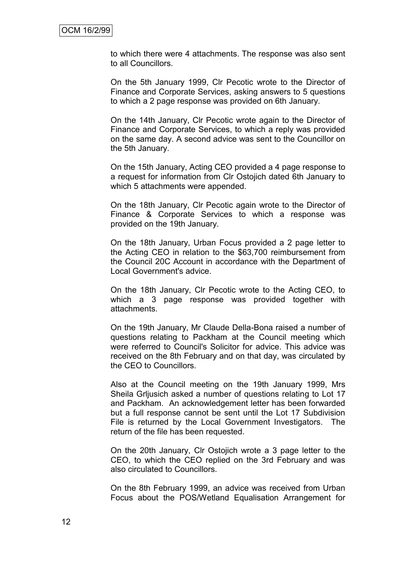to which there were 4 attachments. The response was also sent to all Councillors.

On the 5th January 1999, Clr Pecotic wrote to the Director of Finance and Corporate Services, asking answers to 5 questions to which a 2 page response was provided on 6th January.

On the 14th January, Clr Pecotic wrote again to the Director of Finance and Corporate Services, to which a reply was provided on the same day. A second advice was sent to the Councillor on the 5th January.

On the 15th January, Acting CEO provided a 4 page response to a request for information from Clr Ostojich dated 6th January to which 5 attachments were appended.

On the 18th January, Clr Pecotic again wrote to the Director of Finance & Corporate Services to which a response was provided on the 19th January.

On the 18th January, Urban Focus provided a 2 page letter to the Acting CEO in relation to the \$63,700 reimbursement from the Council 20C Account in accordance with the Department of Local Government's advice.

On the 18th January, Clr Pecotic wrote to the Acting CEO, to which a 3 page response was provided together with attachments.

On the 19th January, Mr Claude Della-Bona raised a number of questions relating to Packham at the Council meeting which were referred to Council's Solicitor for advice. This advice was received on the 8th February and on that day, was circulated by the CEO to Councillors.

Also at the Council meeting on the 19th January 1999, Mrs Sheila Grljusich asked a number of questions relating to Lot 17 and Packham. An acknowledgement letter has been forwarded but a full response cannot be sent until the Lot 17 Subdivision File is returned by the Local Government Investigators. The return of the file has been requested.

On the 20th January, Clr Ostojich wrote a 3 page letter to the CEO, to which the CEO replied on the 3rd February and was also circulated to Councillors.

On the 8th February 1999, an advice was received from Urban Focus about the POS/Wetland Equalisation Arrangement for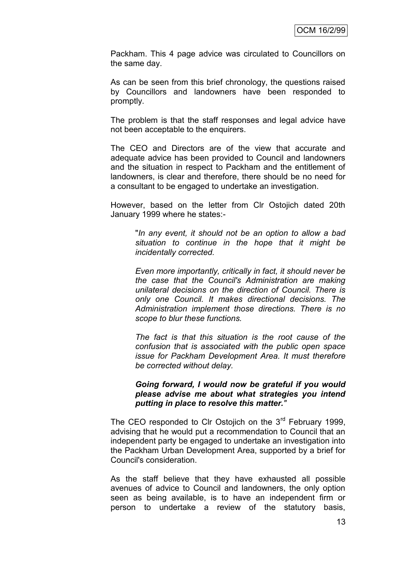Packham. This 4 page advice was circulated to Councillors on the same day.

As can be seen from this brief chronology, the questions raised by Councillors and landowners have been responded to promptly.

The problem is that the staff responses and legal advice have not been acceptable to the enquirers.

The CEO and Directors are of the view that accurate and adequate advice has been provided to Council and landowners and the situation in respect to Packham and the entitlement of landowners, is clear and therefore, there should be no need for a consultant to be engaged to undertake an investigation.

However, based on the letter from Clr Ostojich dated 20th January 1999 where he states:-

> "*In any event, it should not be an option to allow a bad situation to continue in the hope that it might be incidentally corrected.*

> *Even more importantly, critically in fact, it should never be the case that the Council's Administration are making unilateral decisions on the direction of Council. There is only one Council. It makes directional decisions. The Administration implement those directions. There is no scope to blur these functions.*

> *The fact is that this situation is the root cause of the confusion that is associated with the public open space issue for Packham Development Area. It must therefore be corrected without delay.*

#### *Going forward, I would now be grateful if you would please advise me about what strategies you intend putting in place to resolve this matter."*

The CEO responded to Clr Ostojich on the 3<sup>rd</sup> February 1999, advising that he would put a recommendation to Council that an independent party be engaged to undertake an investigation into the Packham Urban Development Area, supported by a brief for Council's consideration.

As the staff believe that they have exhausted all possible avenues of advice to Council and landowners, the only option seen as being available, is to have an independent firm or person to undertake a review of the statutory basis,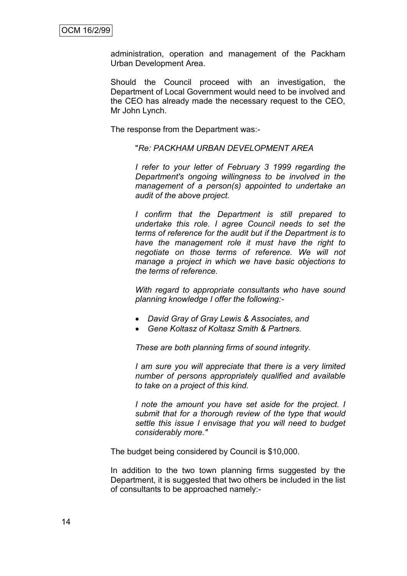administration, operation and management of the Packham Urban Development Area.

Should the Council proceed with an investigation, the Department of Local Government would need to be involved and the CEO has already made the necessary request to the CEO, Mr John Lynch.

The response from the Department was:-

"*Re: PACKHAM URBAN DEVELOPMENT AREA*

*I refer to your letter of February 3 1999 regarding the Department's ongoing willingness to be involved in the management of a person(s) appointed to undertake an audit of the above project.*

*I confirm that the Department is still prepared to undertake this role. I agree Council needs to set the terms of reference for the audit but if the Department is to have the management role it must have the right to negotiate on those terms of reference. We will not manage a project in which we have basic objections to the terms of reference.*

*With regard to appropriate consultants who have sound planning knowledge I offer the following:-*

- *David Gray of Gray Lewis & Associates, and*
- *Gene Koltasz of Koltasz Smith & Partners.*

*These are both planning firms of sound integrity.*

*I am sure you will appreciate that there is a very limited number of persons appropriately qualified and available to take on a project of this kind.*

*I note the amount you have set aside for the project. I submit that for a thorough review of the type that would settle this issue I envisage that you will need to budget considerably more."*

The budget being considered by Council is \$10,000.

In addition to the two town planning firms suggested by the Department, it is suggested that two others be included in the list of consultants to be approached namely:-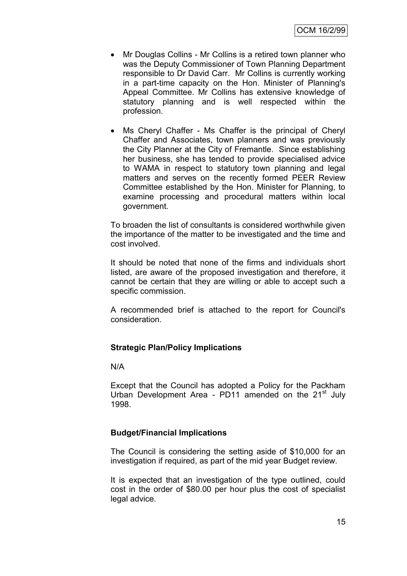- Mr Douglas Collins Mr Collins is a retired town planner who was the Deputy Commissioner of Town Planning Department responsible to Dr David Carr. Mr Collins is currently working in a part-time capacity on the Hon. Minister of Planning's Appeal Committee. Mr Collins has extensive knowledge of statutory planning and is well respected within the profession.
- Ms Cheryl Chaffer Ms Chaffer is the principal of Cheryl Chaffer and Associates, town planners and was previously the City Planner at the City of Fremantle. Since establishing her business, she has tended to provide specialised advice to WAMA in respect to statutory town planning and legal matters and serves on the recently formed PEER Review Committee established by the Hon. Minister for Planning, to examine processing and procedural matters within local government.

To broaden the list of consultants is considered worthwhile given the importance of the matter to be investigated and the time and cost involved.

It should be noted that none of the firms and individuals short listed, are aware of the proposed investigation and therefore, it cannot be certain that they are willing or able to accept such a specific commission.

A recommended brief is attached to the report for Council's consideration.

#### **Strategic Plan/Policy Implications**

N/A

Except that the Council has adopted a Policy for the Packham Urban Development Area - PD11 amended on the  $21<sup>st</sup>$  July 1998.

## **Budget/Financial Implications**

The Council is considering the setting aside of \$10,000 for an investigation if required, as part of the mid year Budget review.

It is expected that an investigation of the type outlined, could cost in the order of \$80.00 per hour plus the cost of specialist legal advice.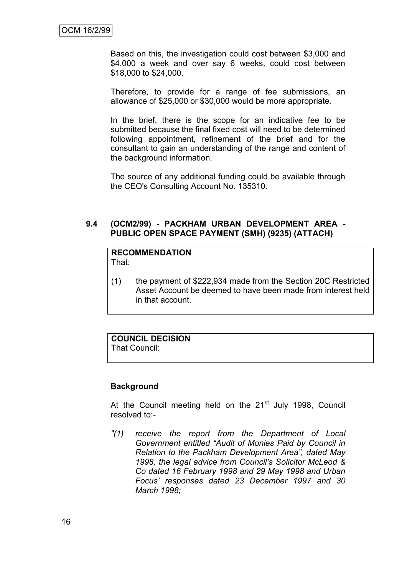Based on this, the investigation could cost between \$3,000 and \$4,000 a week and over say 6 weeks, could cost between \$18,000 to \$24,000.

Therefore, to provide for a range of fee submissions, an allowance of \$25,000 or \$30,000 would be more appropriate.

In the brief, there is the scope for an indicative fee to be submitted because the final fixed cost will need to be determined following appointment, refinement of the brief and for the consultant to gain an understanding of the range and content of the background information.

The source of any additional funding could be available through the CEO's Consulting Account No. 135310.

### **9.4 (OCM2/99) - PACKHAM URBAN DEVELOPMENT AREA - PUBLIC OPEN SPACE PAYMENT (SMH) (9235) (ATTACH)**

# **RECOMMENDATION**

That:

(1) the payment of \$222,934 made from the Section 20C Restricted Asset Account be deemed to have been made from interest held in that account.

## **COUNCIL DECISION**

That Council:

## **Background**

At the Council meeting held on the 21<sup>st</sup> July 1998, Council resolved to:-

*"(1) receive the report from the Department of Local Government entitled "Audit of Monies Paid by Council in Relation to the Packham Development Area", dated May 1998, the legal advice from Council's Solicitor McLeod & Co dated 16 February 1998 and 29 May 1998 and Urban Focus' responses dated 23 December 1997 and 30 March 1998;*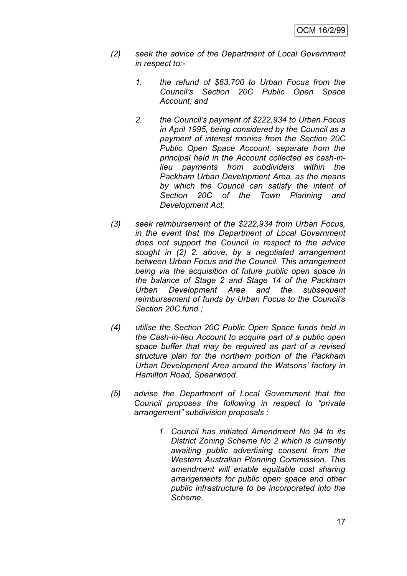- *(2) seek the advice of the Department of Local Government in respect to:-*
	- *1. the refund of \$63,700 to Urban Focus from the Council's Section 20C Public Open Space Account; and*
	- *2. the Council's payment of \$222,934 to Urban Focus in April 1995, being considered by the Council as a payment of interest monies from the Section 20C Public Open Space Account, separate from the principal held in the Account collected as cash-inlieu payments from subdividers within the Packham Urban Development Area, as the means by which the Council can satisfy the intent of Section 20C of the Town Planning and Development Act;*
- *(3) seek reimbursement of the \$222,934 from Urban Focus, in the event that the Department of Local Government does not support the Council in respect to the advice sought in (2) 2. above, by a negotiated arrangement between Urban Focus and the Council. This arrangement being via the acquisition of future public open space in the balance of Stage 2 and Stage 14 of the Packham Urban Development Area and the subsequent reimbursement of funds by Urban Focus to the Council's Section 20C fund ;*
- *(4) utilise the Section 20C Public Open Space funds held in the Cash-in-lieu Account to acquire part of a public open space buffer that may be required as part of a revised structure plan for the northern portion of the Packham Urban Development Area around the Watsons' factory in Hamilton Road, Spearwood.*
- *(5) advise the Department of Local Government that the Council proposes the following in respect to "private arrangement" subdivision proposals :*
	- *1. Council has initiated Amendment No 94 to its District Zoning Scheme No 2 which is currently awaiting public advertising consent from the Western Australian Planning Commission. This amendment will enable equitable cost sharing arrangements for public open space and other public infrastructure to be incorporated into the Scheme.*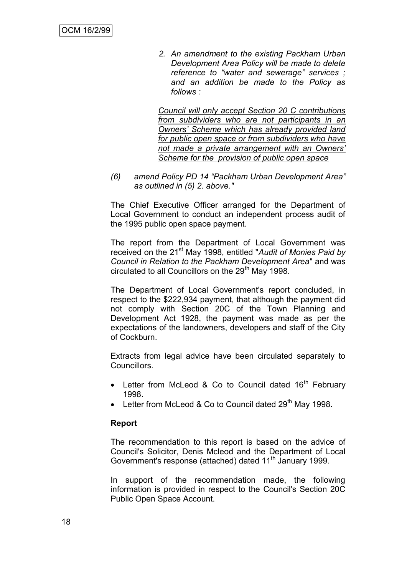*2. An amendment to the existing Packham Urban Development Area Policy will be made to delete reference to "water and sewerage" services ; and an addition be made to the Policy as follows :* 

*Council will only accept Section 20 C contributions from subdividers who are not participants in an Owners' Scheme which has already provided land for public open space or from subdividers who have not made a private arrangement with an Owners' Scheme for the provision of public open space* 

*(6) amend Policy PD 14 "Packham Urban Development Area" as outlined in (5) 2. above."*

The Chief Executive Officer arranged for the Department of Local Government to conduct an independent process audit of the 1995 public open space payment.

The report from the Department of Local Government was received on the 21st May 1998, entitled "*Audit of Monies Paid by Council in Relation to the Packham Development Area*" and was circulated to all Councillors on the  $29<sup>th</sup>$  May 1998.

The Department of Local Government's report concluded, in respect to the \$222,934 payment, that although the payment did not comply with Section 20C of the Town Planning and Development Act 1928, the payment was made as per the expectations of the landowners, developers and staff of the City of Cockburn.

Extracts from legal advice have been circulated separately to Councillors.

- Letter from McLeod & Co to Council dated  $16<sup>th</sup>$  February 1998.
- Letter from McLeod & Co to Council dated  $29<sup>th</sup>$  May 1998.

#### **Report**

The recommendation to this report is based on the advice of Council's Solicitor, Denis Mcleod and the Department of Local Government's response (attached) dated 11<sup>th</sup> January 1999.

In support of the recommendation made, the following information is provided in respect to the Council's Section 20C Public Open Space Account.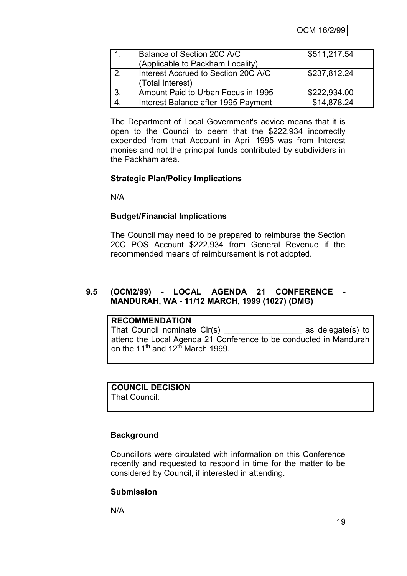OCM 16/2/99

| 1.             | Balance of Section 20C A/C          | \$511,217.54 |
|----------------|-------------------------------------|--------------|
|                | (Applicable to Packham Locality)    |              |
| $\mathcal{P}$  | Interest Accrued to Section 20C A/C | \$237,812.24 |
|                | (Total Interest)                    |              |
| 3.             | Amount Paid to Urban Focus in 1995  | \$222,934.00 |
| $\overline{4}$ | Interest Balance after 1995 Payment | \$14,878.24  |

The Department of Local Government's advice means that it is open to the Council to deem that the \$222,934 incorrectly expended from that Account in April 1995 was from Interest monies and not the principal funds contributed by subdividers in the Packham area.

## **Strategic Plan/Policy Implications**

N/A

## **Budget/Financial Implications**

The Council may need to be prepared to reimburse the Section 20C POS Account \$222,934 from General Revenue if the recommended means of reimbursement is not adopted.

## **9.5 (OCM2/99) - LOCAL AGENDA 21 CONFERENCE - MANDURAH, WA - 11/12 MARCH, 1999 (1027) (DMG)**

## **RECOMMENDATION** That Council nominate Clr(s) \_\_\_\_\_\_\_\_\_\_\_\_\_\_\_\_\_ as delegate(s) to attend the Local Agenda 21 Conference to be conducted in Mandurah on the 11<sup>th</sup> and 12<sup>th</sup> March 1999.

## **COUNCIL DECISION**

That Council:

## **Background**

Councillors were circulated with information on this Conference recently and requested to respond in time for the matter to be considered by Council, if interested in attending.

## **Submission**

N/A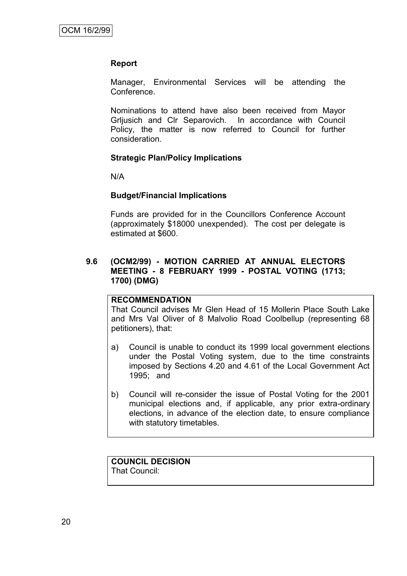## **Report**

Manager, Environmental Services will be attending the Conference.

Nominations to attend have also been received from Mayor Grljusich and Clr Separovich. In accordance with Council Policy, the matter is now referred to Council for further consideration.

## **Strategic Plan/Policy Implications**

N/A

## **Budget/Financial Implications**

Funds are provided for in the Councillors Conference Account (approximately \$18000 unexpended). The cost per delegate is estimated at \$600.

## **9.6 (OCM2/99) - MOTION CARRIED AT ANNUAL ELECTORS MEETING - 8 FEBRUARY 1999 - POSTAL VOTING (1713; 1700) (DMG)**

### **RECOMMENDATION**

That Council advises Mr Glen Head of 15 Mollerin Place South Lake and Mrs Val Oliver of 8 Malvolio Road Coolbellup (representing 68 petitioners), that:

- a) Council is unable to conduct its 1999 local government elections under the Postal Voting system, due to the time constraints imposed by Sections 4.20 and 4.61 of the Local Government Act 1995; and
- b) Council will re-consider the issue of Postal Voting for the 2001 municipal elections and, if applicable, any prior extra-ordinary elections, in advance of the election date, to ensure compliance with statutory timetables.

#### **COUNCIL DECISION** That Council: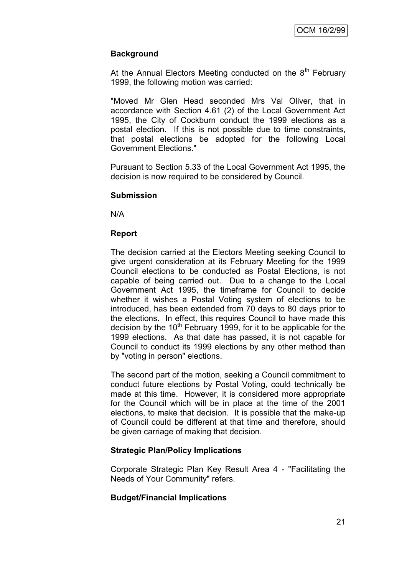## **Background**

At the Annual Electors Meeting conducted on the  $8<sup>th</sup>$  February 1999, the following motion was carried:

"Moved Mr Glen Head seconded Mrs Val Oliver, that in accordance with Section 4.61 (2) of the Local Government Act 1995, the City of Cockburn conduct the 1999 elections as a postal election. If this is not possible due to time constraints, that postal elections be adopted for the following Local Government Elections."

Pursuant to Section 5.33 of the Local Government Act 1995, the decision is now required to be considered by Council.

#### **Submission**

N/A

## **Report**

The decision carried at the Electors Meeting seeking Council to give urgent consideration at its February Meeting for the 1999 Council elections to be conducted as Postal Elections, is not capable of being carried out. Due to a change to the Local Government Act 1995, the timeframe for Council to decide whether it wishes a Postal Voting system of elections to be introduced, has been extended from 70 days to 80 days prior to the elections. In effect, this requires Council to have made this decision by the  $10<sup>th</sup>$  February 1999, for it to be applicable for the 1999 elections. As that date has passed, it is not capable for Council to conduct its 1999 elections by any other method than by "voting in person" elections.

The second part of the motion, seeking a Council commitment to conduct future elections by Postal Voting, could technically be made at this time. However, it is considered more appropriate for the Council which will be in place at the time of the 2001 elections, to make that decision. It is possible that the make-up of Council could be different at that time and therefore, should be given carriage of making that decision.

## **Strategic Plan/Policy Implications**

Corporate Strategic Plan Key Result Area 4 - "Facilitating the Needs of Your Community" refers.

## **Budget/Financial Implications**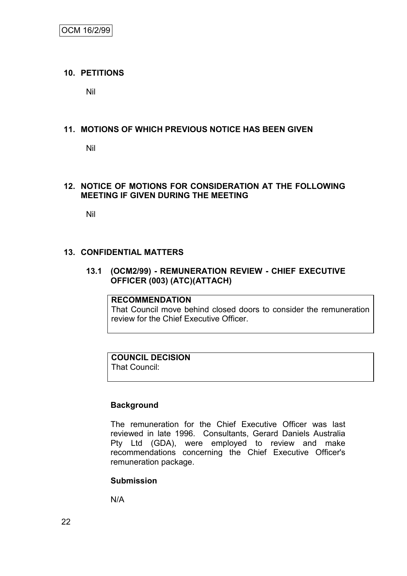## **10. PETITIONS**

Nil

## **11. MOTIONS OF WHICH PREVIOUS NOTICE HAS BEEN GIVEN**

Nil

## **12. NOTICE OF MOTIONS FOR CONSIDERATION AT THE FOLLOWING MEETING IF GIVEN DURING THE MEETING**

Nil

## **13. CONFIDENTIAL MATTERS**

## **13.1 (OCM2/99) - REMUNERATION REVIEW - CHIEF EXECUTIVE OFFICER (003) (ATC)(ATTACH)**

## **RECOMMENDATION**

That Council move behind closed doors to consider the remuneration review for the Chief Executive Officer.

## **COUNCIL DECISION**

That Council:

## **Background**

The remuneration for the Chief Executive Officer was last reviewed in late 1996. Consultants, Gerard Daniels Australia Pty Ltd (GDA), were employed to review and make recommendations concerning the Chief Executive Officer's remuneration package.

## **Submission**

N/A